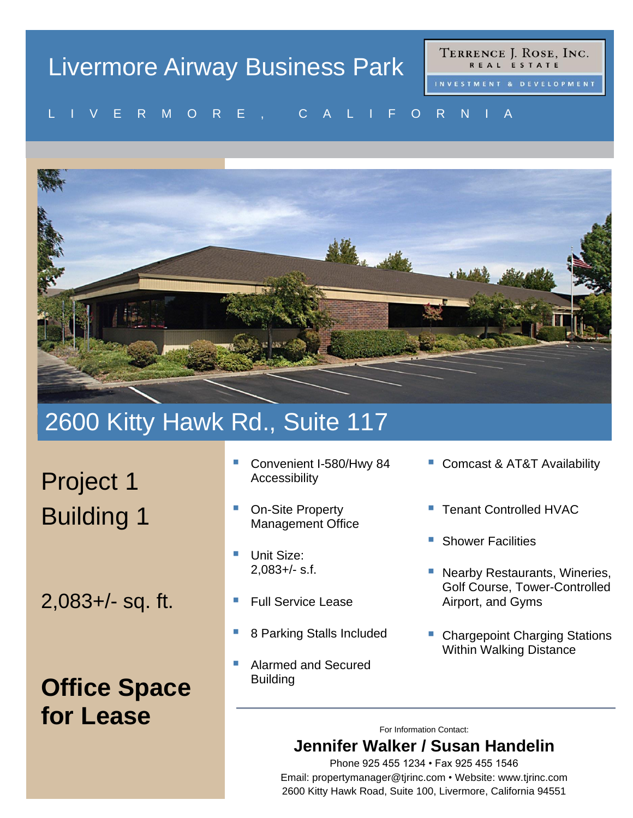# Livermore Airway Business Park

TERRENCE J. ROSE, INC. REAL ESTATE

#### V E R MU R E , U A L I F U R N I A L I V E R M O R E , C A L I F O R N I A



## 2600 Kitty Hawk Rd., Suite 117

Project 1 Building 1

2,083+/- sq. ft.

## **Office Space for Lease**

- Convenient I-580/Hwy 84 Accessibility
- **On-Site Property** Management Office
- Unit Size: 2,083+/- s.f.
- **Full Service Lease**
- 8 Parking Stalls Included
- Alarmed and Secured **Building**
- Comcast & AT&T Availability
- **Tenant Controlled HVAC**
- **Shower Facilities**
- Nearby Restaurants, Wineries, Golf Course, Tower-Controlled Airport, and Gyms
- Chargepoint Charging Stations Within Walking Distance

For Information Contact:

### **Jennifer Walker / Susan Handelin**

Phone 925 455 1234 • Fax 925 455 1546 Email: propertymanager@tjrinc.com • Website: www.tjrinc.com 2600 Kitty Hawk Road, Suite 100, Livermore, California 94551